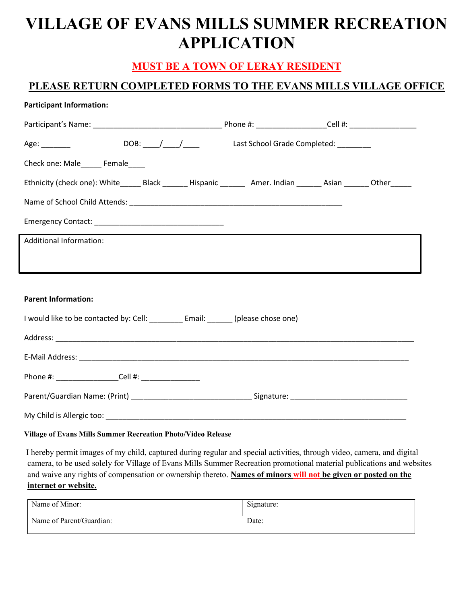# VILLAGE OF EVANS MILLS SUMMER RECREATION APPLICATION

## MUST BE A TOWN OF LERAY RESIDENT

### PLEASE RETURN COMPLETED FORMS TO THE EVANS MILLS VILLAGE OFFICE

#### Participant Information:

| Check one: Male______ Female____                                                                                   |  |  |  |  |  |  |  |
|--------------------------------------------------------------------------------------------------------------------|--|--|--|--|--|--|--|
| Ethnicity (check one): White_______Black ________Hispanic _________ Amer. Indian _______ Asian _______ Other______ |  |  |  |  |  |  |  |
|                                                                                                                    |  |  |  |  |  |  |  |
|                                                                                                                    |  |  |  |  |  |  |  |
| <b>Additional Information:</b>                                                                                     |  |  |  |  |  |  |  |
|                                                                                                                    |  |  |  |  |  |  |  |
|                                                                                                                    |  |  |  |  |  |  |  |
| <b>Parent Information:</b>                                                                                         |  |  |  |  |  |  |  |
| I would like to be contacted by: Cell: _________ Email: ______ (please chose one)                                  |  |  |  |  |  |  |  |
|                                                                                                                    |  |  |  |  |  |  |  |
|                                                                                                                    |  |  |  |  |  |  |  |
| Phone #: ____________________Cell #: _________________                                                             |  |  |  |  |  |  |  |
|                                                                                                                    |  |  |  |  |  |  |  |
|                                                                                                                    |  |  |  |  |  |  |  |

#### Village of Evans Mills Summer Recreation Photo/Video Release

 I hereby permit images of my child, captured during regular and special activities, through video, camera, and digital camera, to be used solely for Village of Evans Mills Summer Recreation promotional material publications and websites and waive any rights of compensation or ownership thereto. Names of minors will not be given or posted on the internet or website.

| Name of Minor:           | Signature: |
|--------------------------|------------|
| Name of Parent/Guardian: | Date:      |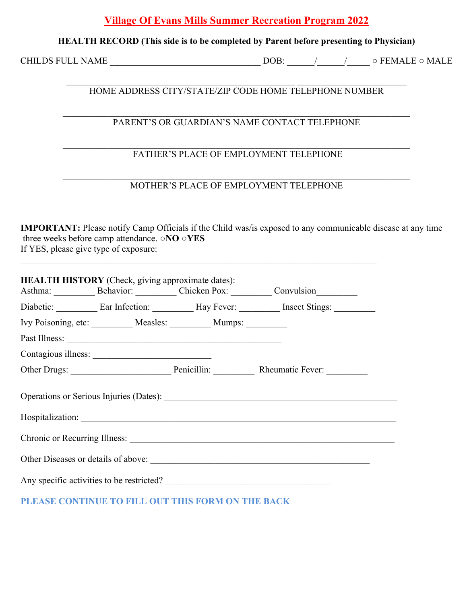### Village Of Evans Mills Summer Recreation Program 2022

#### HEALTH RECORD (This side is to be completed by Parent before presenting to Physician)

CHILDS FULL NAME \_\_\_\_\_\_\_\_\_\_\_\_\_\_\_\_\_\_\_\_\_\_\_\_\_\_\_\_\_\_\_\_\_ DOB: \_\_\_\_\_\_/\_\_\_\_\_\_/\_\_\_\_\_ ○ FEMALE ○ MALE

#### HOME ADDRESS CITY/STATE/ZIP CODE HOME TELEPHONE NUMBER

#### PARENT'S OR GUARDIAN'S NAME CONTACT TELEPHONE

#### FATHER'S PLACE OF EMPLOYMENT TELEPHONE

#### MOTHER'S PLACE OF EMPLOYMENT TELEPHONE

IMPORTANT: Please notify Camp Officials if the Child was/is exposed to any communicable disease at any time three weeks before camp attendance. ○NO ○YES If YES, please give type of exposure:

| <b>HEALTH HISTORY</b> (Check, giving approximate dates):<br>Asthma: Behavior: Chicken Pox: Convulsion |  |  |  |  |  |  |
|-------------------------------------------------------------------------------------------------------|--|--|--|--|--|--|
| Diabetic: Ear Infection: Hay Fever: Insect Stings:                                                    |  |  |  |  |  |  |
| Ivy Poisoning, etc: __________ Measles: __________ Mumps: _________                                   |  |  |  |  |  |  |
|                                                                                                       |  |  |  |  |  |  |
|                                                                                                       |  |  |  |  |  |  |
|                                                                                                       |  |  |  |  |  |  |
|                                                                                                       |  |  |  |  |  |  |
| Chronic or Recurring Illness:                                                                         |  |  |  |  |  |  |
| Other Diseases or details of above:                                                                   |  |  |  |  |  |  |
| Any specific activities to be restricted?                                                             |  |  |  |  |  |  |

PLEASE CONTINUE TO FILL OUT THIS FORM ON THE BACK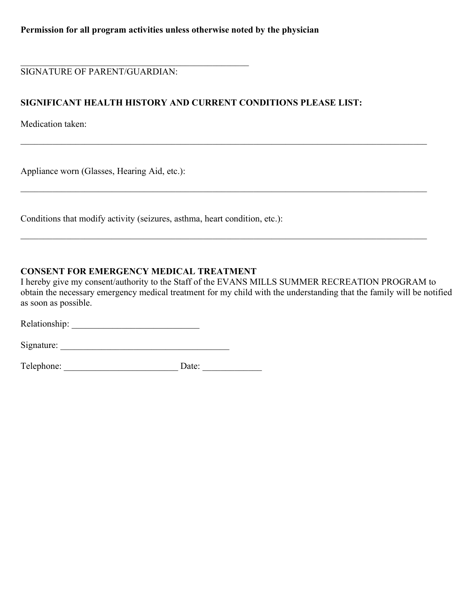SIGNATURE OF PARENT/GUARDIAN:

 $\mathcal{L}_\text{max}$  and  $\mathcal{L}_\text{max}$  and  $\mathcal{L}_\text{max}$  and  $\mathcal{L}_\text{max}$  and  $\mathcal{L}_\text{max}$ 

#### SIGNIFICANT HEALTH HISTORY AND CURRENT CONDITIONS PLEASE LIST:

 $\_$  , and the contribution of the contribution of the contribution of the contribution of the contribution of  $\mathcal{L}_\text{max}$ 

Medication taken:

Appliance worn (Glasses, Hearing Aid, etc.):

Conditions that modify activity (seizures, asthma, heart condition, etc.):

#### CONSENT FOR EMERGENCY MEDICAL TREATMENT

I hereby give my consent/authority to the Staff of the EVANS MILLS SUMMER RECREATION PROGRAM to obtain the necessary emergency medical treatment for my child with the understanding that the family will be notified as soon as possible.

\_\_\_\_\_\_\_\_\_\_\_\_\_\_\_\_\_\_\_\_\_\_\_\_\_\_\_\_\_\_\_\_\_\_\_\_\_\_\_\_\_\_\_\_\_\_\_\_\_\_\_\_\_\_\_\_\_\_\_\_\_\_\_\_\_\_\_\_\_\_\_\_\_\_\_\_\_\_\_\_\_\_\_\_\_\_\_\_\_

Relationship: \_\_\_\_\_\_\_\_\_\_\_\_\_\_\_\_\_\_\_\_\_\_\_\_\_\_\_\_

Signature: \_\_\_\_\_\_\_\_\_\_\_\_\_\_\_\_\_\_\_\_\_\_\_\_\_\_\_\_\_\_\_\_\_\_\_\_\_

Telephone: \_\_\_\_\_\_\_\_\_\_\_\_\_\_\_\_\_\_\_\_\_\_\_\_\_ Date: \_\_\_\_\_\_\_\_\_\_\_\_\_